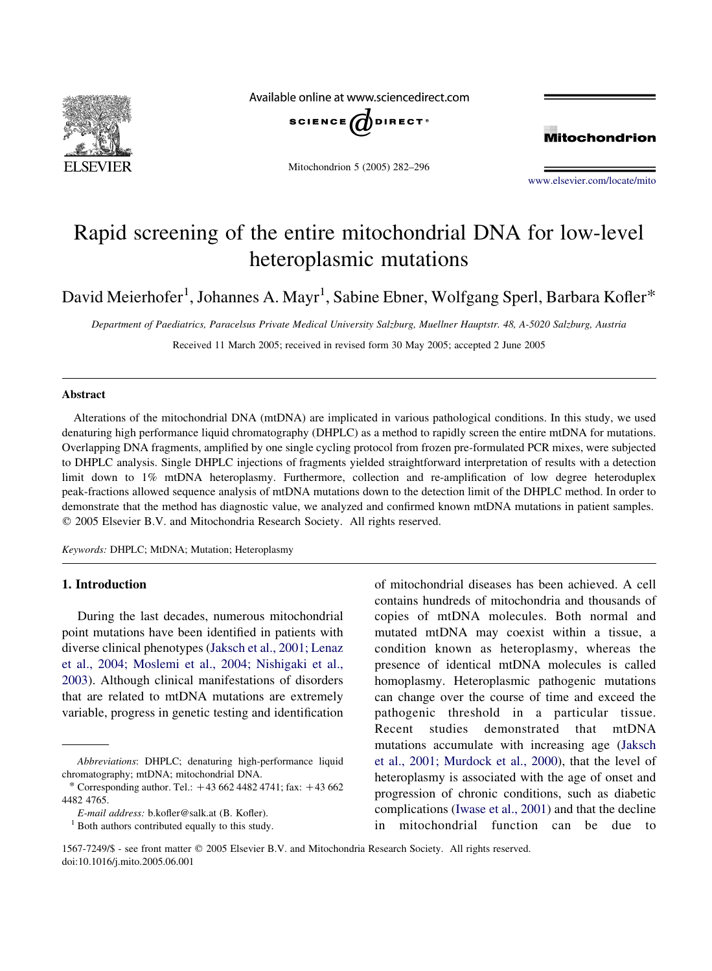

Available online at www.sciencedirect.com



Mitochondrion 5 (2005) 282–296



[www.elsevier.com/locate/mito](http://www.elsevier.com/locate/mito)

# Rapid screening of the entire mitochondrial DNA for low-level heteroplasmic mutations

David Meierhofer $^1$ , Johannes A. Mayr $^1$ , Sabine Ebner, Wolfgang Sperl, Barbara Kofler $^\ast$ 

Department of Paediatrics, Paracelsus Private Medical University Salzburg, Muellner Hauptstr. 48, A-5020 Salzburg, Austria Received 11 March 2005; received in revised form 30 May 2005; accepted 2 June 2005

#### Abstract

Alterations of the mitochondrial DNA (mtDNA) are implicated in various pathological conditions. In this study, we used denaturing high performance liquid chromatography (DHPLC) as a method to rapidly screen the entire mtDNA for mutations. Overlapping DNA fragments, amplified by one single cycling protocol from frozen pre-formulated PCR mixes, were subjected to DHPLC analysis. Single DHPLC injections of fragments yielded straightforward interpretation of results with a detection limit down to 1% mtDNA heteroplasmy. Furthermore, collection and re-amplification of low degree heteroduplex peak-fractions allowed sequence analysis of mtDNA mutations down to the detection limit of the DHPLC method. In order to demonstrate that the method has diagnostic value, we analyzed and confirmed known mtDNA mutations in patient samples.  $Q$  2005 Elsevier B.V. and Mitochondria Research Society. All rights reserved.

Keywords: DHPLC; MtDNA; Mutation; Heteroplasmy

# 1. Introduction

During the last decades, numerous mitochondrial point mutations have been identified in patients with diverse clinical phenotypes ([Jaksch et al., 2001; Lenaz](#page-13-0) [et al., 2004; Moslemi et al., 2004; Nishigaki et al.,](#page-13-0) [2003](#page-13-0)). Although clinical manifestations of disorders that are related to mtDNA mutations are extremely variable, progress in genetic testing and identification of mitochondrial diseases has been achieved. A cell contains hundreds of mitochondria and thousands of copies of mtDNA molecules. Both normal and mutated mtDNA may coexist within a tissue, a condition known as heteroplasmy, whereas the presence of identical mtDNA molecules is called homoplasmy. Heteroplasmic pathogenic mutations can change over the course of time and exceed the pathogenic threshold in a particular tissue. Recent studies demonstrated that mtDNA mutations accumulate with increasing age ([Jaksch](#page-13-0) [et al., 2001; Murdock et al., 2000](#page-13-0)), that the level of heteroplasmy is associated with the age of onset and progression of chronic conditions, such as diabetic complications [\(Iwase et al., 2001](#page-13-0)) and that the decline in mitochondrial function can be due to

Abbreviations: DHPLC; denaturing high-performance liquid chromatography; mtDNA; mitochondrial DNA.

<sup>\*</sup> Corresponding author. Tel.:  $+43,662,4482,4741$ ; fax:  $+43,662$ 4482 4765.

E-mail address: b.kofler@salk.at (B. Kofler).<br><sup>1</sup> Both authors contributed equally to this study.

<sup>1567-7249/\$ -</sup> see front matter q 2005 Elsevier B.V. and Mitochondria Research Society. All rights reserved. doi:10.1016/j.mito.2005.06.001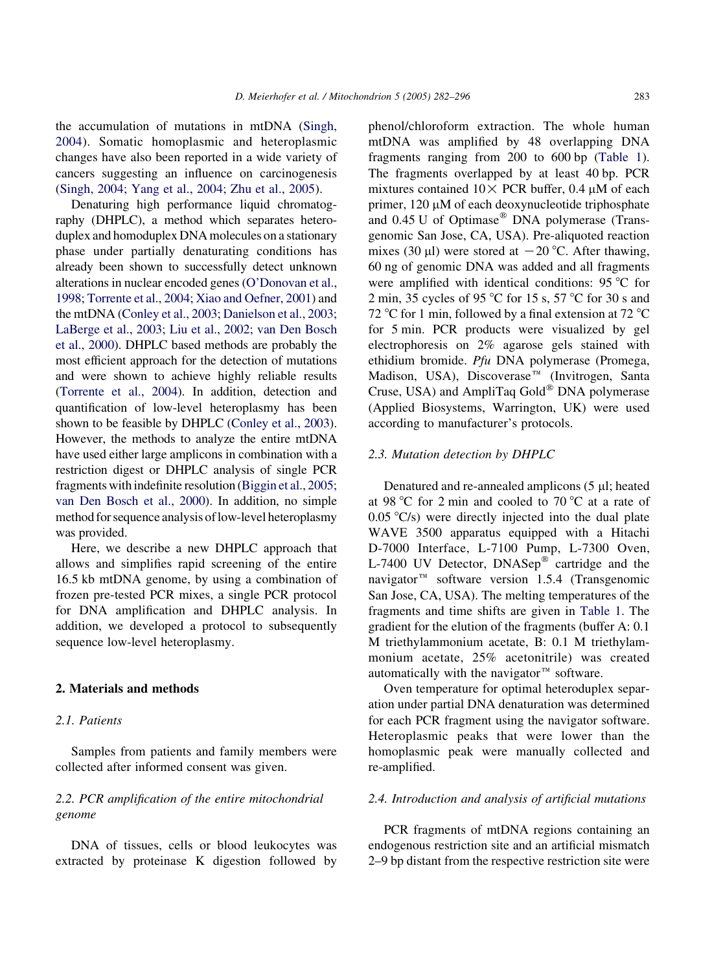the accumulation of mutations in mtDNA ([Singh,](#page-13-0) [2004](#page-13-0)). Somatic homoplasmic and heteroplasmic changes have also been reported in a wide variety of cancers suggesting an influence on carcinogenesis ([Singh, 2004; Yang et al., 2004; Zhu et al., 2005\)](#page-13-0).

Denaturing high performance liquid chromatography (DHPLC), a method which separates heteroduplex and homoduplex DNA molecules on a stationary phase under partially denaturating conditions has already been shown to successfully detect unknown alterations in nuclear encoded genes [\(O'Donovan et al.,](#page-13-0) [1998; Torrente et al., 2004; Xiao and Oefner, 2001](#page-13-0)) and the mtDNA [\(Conley et al., 2003; Danielson et al., 2003;](#page-13-0) [LaBerge et al., 2003; Liu et al., 2002; van Den Bosch](#page-13-0) [et al., 2000](#page-13-0)). DHPLC based methods are probably the most efficient approach for the detection of mutations and were shown to achieve highly reliable results ([Torrente et al., 2004\)](#page-13-0). In addition, detection and quantification of low-level heteroplasmy has been shown to be feasible by DHPLC [\(Conley et al., 2003\)](#page-13-0). However, the methods to analyze the entire mtDNA have used either large amplicons in combination with a restriction digest or DHPLC analysis of single PCR fragments with indefinite resolution ([Biggin et al., 2005;](#page-13-0) [van Den Bosch et al., 2000\)](#page-13-0). In addition, no simple method for sequence analysis of low-level heteroplasmy was provided.

Here, we describe a new DHPLC approach that allows and simplifies rapid screening of the entire 16.5 kb mtDNA genome, by using a combination of frozen pre-tested PCR mixes, a single PCR protocol for DNA amplification and DHPLC analysis. In addition, we developed a protocol to subsequently sequence low-level heteroplasmy.

# 2. Materials and methods

# 2.1. Patients

Samples from patients and family members were collected after informed consent was given.

# 2.2. PCR amplification of the entire mitochondrial genome

DNA of tissues, cells or blood leukocytes was extracted by proteinase K digestion followed by

phenol/chloroform extraction. The whole human mtDNA was amplified by 48 overlapping DNA fragments ranging from 200 to 600 bp ([Table 1](#page-2-0)). The fragments overlapped by at least 40 bp. PCR mixtures contained  $10 \times$  PCR buffer, 0.4  $\mu$ M of each primer,  $120 \mu M$  of each deoxynucleotide triphosphate and  $0.45 \text{ U}$  of Optimase<sup>®</sup> DNA polymerase (Transgenomic San Jose, CA, USA). Pre-aliquoted reaction mixes (30  $\mu$ l) were stored at  $-20$  °C. After thawing, 60 ng of genomic DNA was added and all fragments were amplified with identical conditions: 95  $\degree$ C for 2 min, 35 cycles of 95 °C for 15 s, 57 °C for 30 s and 72 °C for 1 min, followed by a final extension at 72 °C for 5 min. PCR products were visualized by gel electrophoresis on 2% agarose gels stained with ethidium bromide. Pfu DNA polymerase (Promega, Madison, USA), Discoverase<sup>™</sup> (Invitrogen, Santa Cruse, USA) and AmpliTaq Gold<sup>®</sup> DNA polymerase (Applied Biosystems, Warrington, UK) were used according to manufacturer's protocols.

### 2.3. Mutation detection by DHPLC

Denatured and re-annealed amplicons (5 µl; heated at 98 °C for 2 min and cooled to 70 °C at a rate of  $0.05 \degree C/s$ ) were directly injected into the dual plate WAVE 3500 apparatus equipped with a Hitachi D-7000 Interface, L-7100 Pump, L-7300 Oven, L-7400 UV Detector,  $DNASEp^{\circledR}$  cartridge and the navigator<sup> $m$ </sup> software version 1.5.4 (Transgenomic San Jose, CA, USA). The melting temperatures of the fragments and time shifts are given in [Table 1](#page-2-0). The gradient for the elution of the fragments (buffer A: 0.1 M triethylammonium acetate, B: 0.1 M triethylammonium acetate, 25% acetonitrile) was created automatically with the navigator $m$  software.

Oven temperature for optimal heteroduplex separation under partial DNA denaturation was determined for each PCR fragment using the navigator software. Heteroplasmic peaks that were lower than the homoplasmic peak were manually collected and re-amplified.

#### 2.4. Introduction and analysis of artificial mutations

PCR fragments of mtDNA regions containing an endogenous restriction site and an artificial mismatch 2–9 bp distant from the respective restriction site were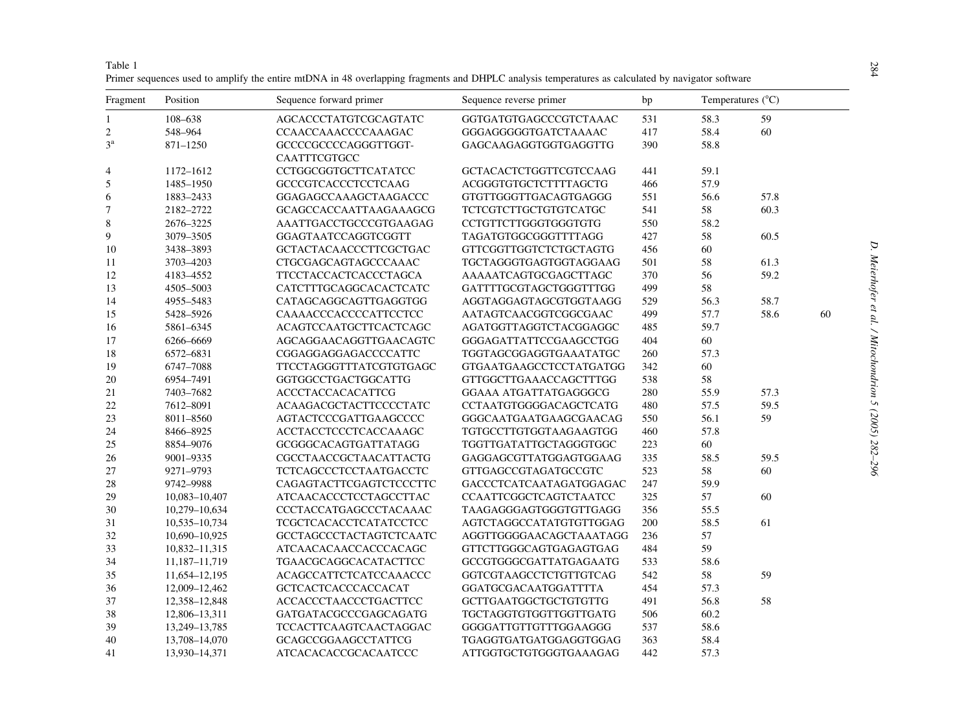| Fragment       | Position          | Sequence forward primer              | Sequence reverse primer      | bp      |      | Temperatures $(^{\circ}C)$ |    |
|----------------|-------------------|--------------------------------------|------------------------------|---------|------|----------------------------|----|
| 1              | 108-638           | AGCACCCTATGTCGCAGTATC                | GGTGATGTGAGCCCGTCTAAAC       | 531     | 58.3 | 59                         |    |
| $\sqrt{2}$     | 548-964           | CCAACCAAACCCCAAAGAC                  | GGGAGGGGGTGATCTAAAAC         | 417     | 58.4 | 60                         |    |
| $3^{\rm a}$    | 871-1250          | GCCCCGCCCCAGGGTTGGT-<br>CAATTTCGTGCC | GAGCAAGAGGTGGTGAGGTTG        | 390     | 58.8 |                            |    |
| $\overline{4}$ | 1172-1612         | CCTGGCGGTGCTTCATATCC                 | GCTACACTCTGGTTCGTCCAAG       | 441     | 59.1 |                            |    |
| 5              | 1485-1950         | <b>GCCCGTCACCCTCCTCAAG</b>           | ACGGGTGTGCTCTTTTAGCTG        | 466     | 57.9 |                            |    |
| 6              | 1883-2433         | GGAGAGCCAAAGCTAAGACCC                | GTGTTGGGTTGACAGTGAGGG        | 551     | 56.6 | 57.8                       |    |
| 7              | 2182-2722         | <b>GCAGCCACCAATTAAGAAAGCG</b>        | <b>TCTCGTCTTGCTGTGTCATGC</b> | 541     | 58   | 60.3                       |    |
| $\,$ 8 $\,$    | 2676-3225         | AAATTGACCTGCCCGTGAAGAG               | CCTGTTCTTGGGTGGGTGTG         | 550     | 58.2 |                            |    |
| 9              | 3079-3505         | GGAGTAATCCAGGTCGGTT                  | TAGATGTGGCGGGTTTTAGG         | 427     | 58   | 60.5                       |    |
| 10             | 3438-3893         | <b>GCTACTACAACCCTTCGCTGAC</b>        | GTTCGGTTGGTCTCTGCTAGTG       | 456     | 60   |                            |    |
| 11             | 3703-4203         | CTGCGAGCAGTAGCCCAAAC                 | TGCTAGGGTGAGTGGTAGGAAG       | 501     | 58   | 61.3                       |    |
| 12             | 4183-4552         | TTCCTACCACTCACCCTAGCA                | AAAAATCAGTGCGAGCTTAGC        | 370     | 56   | 59.2                       |    |
| 13             | 4505-5003         | CATCTTTGCAGGCACACTCATC               | GATTTTGCGTAGCTGGGTTTGG       | 499     | 58   |                            |    |
| 14             | 4955-5483         | CATAGCAGGCAGTTGAGGTGG                | AGGTAGGAGTAGCGTGGTAAGG       | 529     | 56.3 | 58.7                       |    |
| 15             | 5428-5926         | CAAAACCCACCCCATTCCTCC                | AATAGTCAACGGTCGGCGAAC        | 499     | 57.7 | 58.6                       | 60 |
| 16             | 5861-6345         | <b>ACAGTCCAATGCTTCACTCAGC</b>        | AGATGGTTAGGTCTACGGAGGC       | 485     | 59.7 |                            |    |
| 17             | 6266-6669         | AGCAGGAACAGGTTGAACAGTC               | GGGAGATTATTCCGAAGCCTGG       | 404     | 60   |                            |    |
| 18             | 6572-6831         | CGGAGGAGGAGACCCCATTC                 | TGGTAGCGGAGGTGAAATATGC       | 260     | 57.3 |                            |    |
| 19             | 6747-7088         | <b>TTCCTAGGGTTTATCGTGTGAGC</b>       | GTGAATGAAGCCTCCTATGATGG      | 342     | 60   |                            |    |
| 20             | 6954-7491         | GGTGGCCTGACTGGCATTG                  | GTTGGCTTGAAACCAGCTTTGG       | 538     | 58   |                            |    |
| 21             | 7403-7682         | <b>ACCCTACCACACATTCG</b>             | GGAAA ATGATTATGAGGGCG        | 280     | 55.9 | 57.3                       |    |
| 22             | 7612-8091         | ACAAGACGCTACTTCCCCTATC               | CCTAATGTGGGGACAGCTCATG       | 480     | 57.5 | 59.5                       |    |
| 23             | 8011-8560         | AGTACTCCCGATTGAAGCCCC                | GGGCAATGAATGAAGCGAACAG       | 550     | 56.1 | 59                         |    |
| 24             | 8466-8925         | ACCTACCTCCCTCACCAAAGC                | TGTGCCTTGTGGTAAGAAGTGG       | 460     | 57.8 |                            |    |
| 25             | 8854-9076         | GCGGGCACAGTGATTATAGG                 | TGGTTGATATTGCTAGGGTGGC       | 223     | 60   |                            |    |
| 26             | 9001-9335         | CGCCTAACCGCTAACATTACTG               | GAGGAGCGTTATGGAGTGGAAG       | 335     | 58.5 | 59.5                       |    |
| 27             | 9271-9793         | <b>TCTCAGCCCTCCTAATGACCTC</b>        | GTTGAGCCGTAGATGCCGTC         | 523     | 58   | 60                         |    |
| 28             | 9742-9988         | CAGAGTACTTCGAGTCTCCCTTC              | GACCCTCATCAATAGATGGAGAC      | 247     | 59.9 |                            |    |
| 29             | 10,083-10,407     | ATCAACACCCTCCTAGCCTTAC               | CCAATTCGGCTCAGTCTAATCC       | 325     | 57   | 60                         |    |
| 30             | 10,279-10,634     | CCCTACCATGAGCCCTACAAAC               | TAAGAGGGAGTGGGTGTTGAGG       | 356     | 55.5 |                            |    |
| 31             | 10,535-10,734     | TCGCTCACACCTCATATCCTCC               | AGTCTAGGCCATATGTGTTGGAG      | $200\,$ | 58.5 | 61                         |    |
| 32             | 10,690-10,925     | GCCTAGCCCTACTAGTCTCAATC              | AGGTTGGGGAACAGCTAAATAGG      | 236     | 57   |                            |    |
| 33             | 10,832-11,315     | ATCAACACAACCACCCACAGC                | GTTCTTGGGCAGTGAGAGTGAG       | 484     | 59   |                            |    |
| 34             | 11, 187 - 11, 719 | <b>TGAACGCAGGCACATACTTCC</b>         | GCCGTGGGCGATTATGAGAATG       | 533     | 58.6 |                            |    |
| 35             | 11,654–12,195     | ACAGCCATTCTCATCCAAACCC               | GGTCGTAAGCCTCTGTTGTCAG       | 542     | 58   | 59                         |    |
| 36             | 12,009-12,462     | <b>GCTCACTCACCCACCACAT</b>           | GGATGCGACAATGGATTTTA         | 454     | 57.3 |                            |    |
| 37             | 12,358-12,848     | <b>ACCACCCTAACCCTGACTTCC</b>         | <b>GCTTGAATGGCTGCTGTGTTG</b> | 491     | 56.8 | 58                         |    |
| 38             | 12,806-13,311     | GATGATACGCCCGAGCAGATG                | TGCTAGGTGTGGTTGGTTGATG       | 506     | 60.2 |                            |    |
| 39             | 13,249-13,785     | TCCACTTCAAGTCAACTAGGAC               | GGGGATTGTTGTTTGGAAGGG        | 537     | 58.6 |                            |    |
| 40             | 13,708-14,070     | <b>GCAGCCGGAAGCCTATTCG</b>           | TGAGGTGATGATGGAGGTGGAG       | 363     | 58.4 |                            |    |
| 41             | 13,930-14,371     | ATCACACACCGCACAATCCC                 | ATTGGTGCTGTGGGTGAAAGAG       | 442     | 57.3 |                            |    |

<span id="page-2-0"></span>

| Table 1 |                                                                                                                                                   |  |  |
|---------|---------------------------------------------------------------------------------------------------------------------------------------------------|--|--|
|         | Primer sequences used to amplify the entire mtDNA in 48 overlapping fragments and DHPLC analysis temperatures as calculated by navigator software |  |  |

# D. Meierhofer et al. / Mitochondrion 5 (2005) 282–296 D. Meierhofer et al. / Mitochondrion 5 (2005) 282-296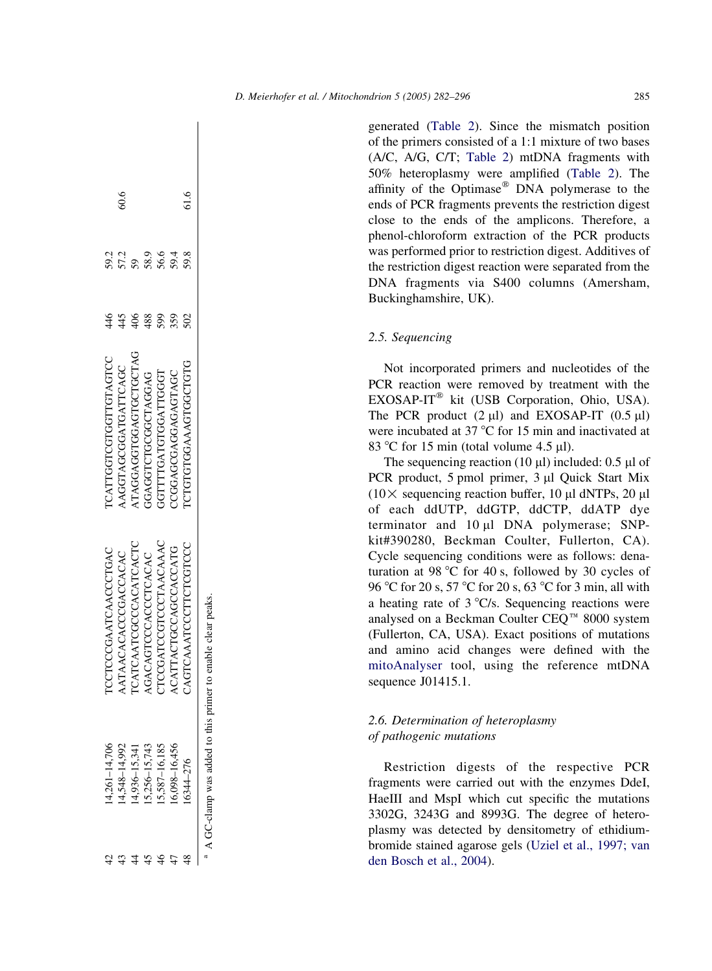generated [\(Table 2\)](#page-4-0). Since the mismatch position of the primers consisted of a 1:1 mixture of two bases (A/C, A/G, C/T; [Table 2](#page-4-0)) mtDNA fragments with 50% heteroplasmy were amplified ([Table 2\)](#page-4-0). The affinity of the Optimase<sup>®</sup> DNA polymerase to the ends of PCR fragments prevents the restriction digest close to the ends of the amplicons. Therefore, a phenol-chloroform extraction of the PCR products was performed prior to restriction digest. Additives of the restriction digest reaction were separated from the DNA fragments via S400 columns (Amersham, Buckinghamshire, UK).

# 2.5. Sequencing

Not incorporated primers and nucleotides of the PCR reaction were removed by treatment with the  $EXOSAP-IT^®$  kit (USB Corporation, Ohio, USA). The PCR product  $(2 \mu l)$  and EXOSAP-IT  $(0.5 \mu l)$ were incubated at  $37^{\circ}$ C for 15 min and inactivated at 83 °C for 15 min (total volume  $4.5$  µl).

The sequencing reaction (10  $\mu$ l) included: 0.5  $\mu$ l of PCR product, 5 pmol primer, 3 µl Quick Start Mix  $(10 \times$  sequencing reaction buffer, 10 µl dNTPs, 20 µl of each ddUTP, ddGTP, ddCTP, ddATP dye terminator and  $10 \mu l$  DNA polymerase; SNPkit#390280, Beckman Coulter, Fullerton, CA). Cycle sequencing conditions were as follows: denaturation at 98  $\degree$ C for 40 s, followed by 30 cycles of 96 °C for 20 s, 57 °C for 20 s, 63 °C for 3 min, all with a heating rate of  $3^{\circ}C/s$ . Sequencing reactions were analysed on a Beckman Coulter CEQ<sup>™</sup> 8000 system (Fullerton, CA, USA). Exact positions of mutations and amino acid changes were defined with the [mitoAnalyser](#page-13-0) tool, using the reference mtDNA sequence J01415.1.

# 2.6. Determination of heteroplasmy of pathogenic mutations

Restriction digests of the respective PCR fragments were carried out with the enzymes DdeI, HaeIII and MspI which cut specific the mutations 3302G, 3243G and 8993G. The degree of heteroplasmy was detected by densitometry of ethidiumbromide stained agarose gels ([Uziel et al., 1997; van](#page-14-0) [den Bosch et al., 2004](#page-14-0)).<br>
a heating rate of 3 °C/s<br>
analysed on a Beckman<br>
(Fullerton, CA, USA).<br>
and amino acid chan<br>
mitoAnalyser tool, us<br>
sequence J01415.1.<br>
2.6. Determination of h<br>
of pathogenic mutations<br>
Restricti

|      |      |     |                               | A GC-clamp was added to this primer to enable clear peaks. |                  |  |
|------|------|-----|-------------------------------|------------------------------------------------------------|------------------|--|
| 61.6 | 59.8 |     | <b>ICTGTGTGGAAAGTGGCTGTG</b>  | CAGTCAATCCCTTCTCGTCC                                       | 6344-276         |  |
|      | 59.4 | 359 | CGGAGGAGAGAGTAGC              | ACATTACTGCCAGCCACCATG                                      | 6,098-16,456     |  |
|      | 56.6 | 599 | <b>GTTTTGATGGATTGGT</b>       | TCCGATCCGTCCCTAACAAAC                                      | 5,587-16,185     |  |
|      | 58.9 | 488 | GAAGGTCTGCGCTAGGAG            | AGACAGTCCCACCTCACAC                                        | $5,256 - 15,743$ |  |
|      |      |     | <b>TAGGAGGTGGAGTGCTGCTAG</b>  | <b>TCATCAATCGCCCACATCACTC</b>                              | $4,936 - 15,341$ |  |
| 50.6 | 57.2 |     | AGGTAGCGGATGATCAGC            | ATAACACACCGACCACAC                                         | 4,548-14,992     |  |
|      | 59.2 | 46  | <b>TCATTGGTCGTGGTTGTAGTCC</b> | TCCTCCCGAATCAACCCTGAC                                      | $4,261 - 14,706$ |  |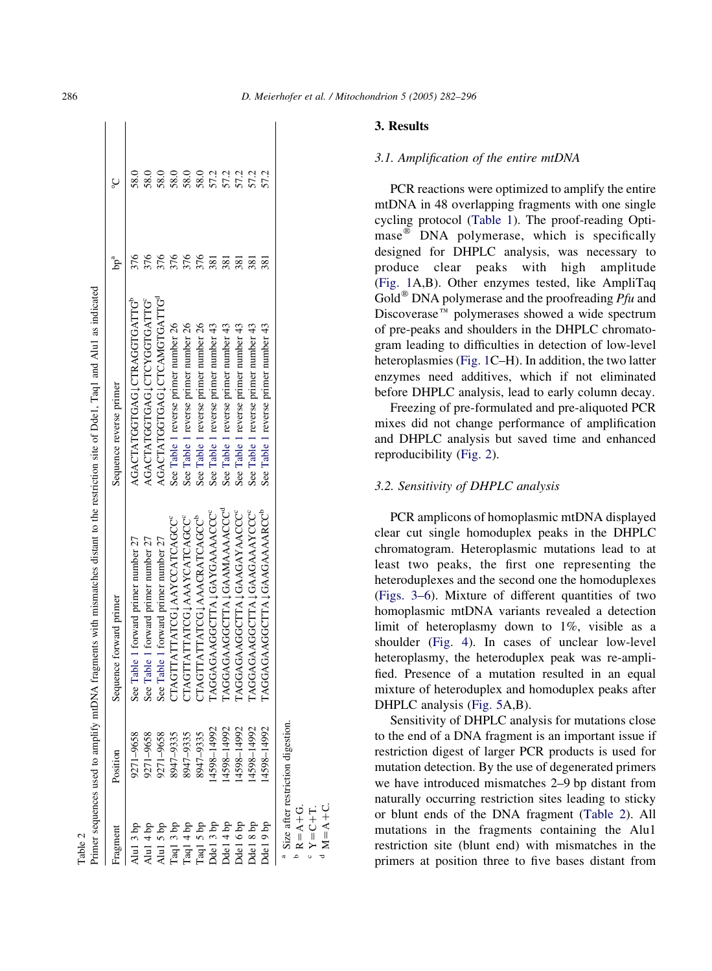| ragmen                           | Position                          | Sequence forward primer              | Sequence reverse primer                  | $bp^a$           | ç                 |
|----------------------------------|-----------------------------------|--------------------------------------|------------------------------------------|------------------|-------------------|
| $\ln 13$ bp                      | 9271-9658                         | see Table 1 forward primer number 27 | AGACTATGGTGAG JCTRAGGTGATTG <sup>b</sup> | 876              | 58.0              |
| $\ln 1 4$ bp                     | 9271-9658                         | see Table 1 forward primer number 27 | AGACTATGGTGAGUCYGGTGATTG <sup>e</sup>    |                  | 58.0              |
| Alu1 5 bp                        | 9271-9658                         | see Table 1 forward primer number 27 | AGACTATGGTGAG JCTCAMGTGATTG <sup>ª</sup> |                  | 58.0              |
| Taq13 bp<br>Taq14 bp<br>Taq15 bp | 8947-9335                         | TAGITATTATCG JAAYCCATCAGCC           | See Table 1 reverse primer number 26     |                  | 58.0              |
|                                  | 8947-9335                         | TAGTTATTATCG JAAAYCATCAGCC           | See Table 1 reverse primer number 26     | 376              | 58.0              |
|                                  | 8947-9335                         | TAGITATTATCG JAAACRATCAGCC           | See Table 1 reverse primer number 26     | 376              | 58.0              |
| Odel 3 bp                        | 4598-14992                        | <b>AGGAGAAGGCTTA LGAYGAAAACCC</b>    | See Table 1 reverse primer number 43     | 381              |                   |
| Ddel 4 bp                        | 4598-14992                        | LAGGAGAAGGCTTA JGAAMAAAACCC          | See Table 1 reverse primer number 43     | 381              |                   |
| Odel 6 bp                        | 4598-14992                        | LAGGAGAAGGCTTA JGAAGAYAACCC          | See Table 1 reverse primer number 43     | $\overline{381}$ | 572<br>572<br>572 |
| Odel 8 bp                        | 4598-14992                        | AGGAGAAGGCTTA JGAAGAAAYCCC           | See Table 1 reverse primer number 43     | 381              | 57.2              |
| del 9 bp                         | 4598-14992                        | AGGAGAAGGCTTA LGAAGAAAARCC           | See Table 1 reverse primer number 43     | 381              | 57.2              |
| $R = A + G$                      | Size after restriction digestion. |                                      |                                          |                  |                   |
|                                  |                                   |                                      |                                          |                  |                   |

cY Z

C<br>U<br>U

 $\mathbb{R}$ <sup>d</sup>  $\prec$ ن<br>+

<span id="page-4-0"></span>286 D. Meierhofer et al. / Mitochondrion 5 (2005) 282–296

# 3. Results

#### 3.1. Amplification of the entire mtDNA

PCR reactions were optimized to amplify the entire mtDNA in 48 overlapping fragments with one single cycling protocol ([Table 1](#page-2-0)). The proof-reading Optimase<sup> $\omega$ </sup> DNA polymerase, which is specifically designed for DHPLC analysis, was necessary to produce clear peaks with high amplitude ([Fig. 1](#page-5-0)A,B). Other enzymes tested, like AmpliTaq Gold<sup>®</sup> DNA polymerase and the proofreading  $Pf u$  and Discoverase<sup> $m$ </sup> polymerases showed a wide spectrum of pre-peaks and shoulders in the DHPLC chromatogram leading to difficulties in detection of low-level heteroplasmies ([Fig. 1C](#page-5-0)–H). In addition, the two latter enzymes need additives, which if not eliminated before DHPLC analysis, lead to early column decay.

Freezing of pre-formulated and pre-aliquoted PCR mixes did not change performance of amplification and DHPLC analysis but saved time and enhanced reproducibility [\(Fig. 2](#page-6-0)).

# 3.2. Sensitivity of DHPLC analysis

PCR amplicons of homoplasmic mtDNA displayed clear cut single homoduplex peaks in the DHPLC chromatogram. Heteroplasmic mutations lead to at least two peaks, the first one representing the heteroduplexes and the second one the homoduplexes (Figs. 3–6). Mixture of different quantities of two homoplasmic mtDNA variants revealed a detection limit of heteroplasmy down to 1%, visible as a shoulder ([Fig. 4](#page-9-0)). In cases of unclear low-level heteroplasmy, the heteroduplex peak was re-amplified. Presence of a mutation resulted in an equal mixture of heteroduplex and homoduplex peaks after DHPLC analysis ([Fig. 5](#page-10-0)A,B).

Sensitivity of DHPLC analysis for mutations close to the end of a DNA fragment is an important issue if restriction digest of larger PCR products is used for mutation detection. By the use of degenerated primers we have introduced mismatches 2–9 bp distant from naturally occurring restriction sites leading to sticky or blunt ends of the DNA fragment (Table 2). All mutations in the fragments containing the Alu1 restriction site (blunt end) with mismatches in the primers at position three to five bases distant from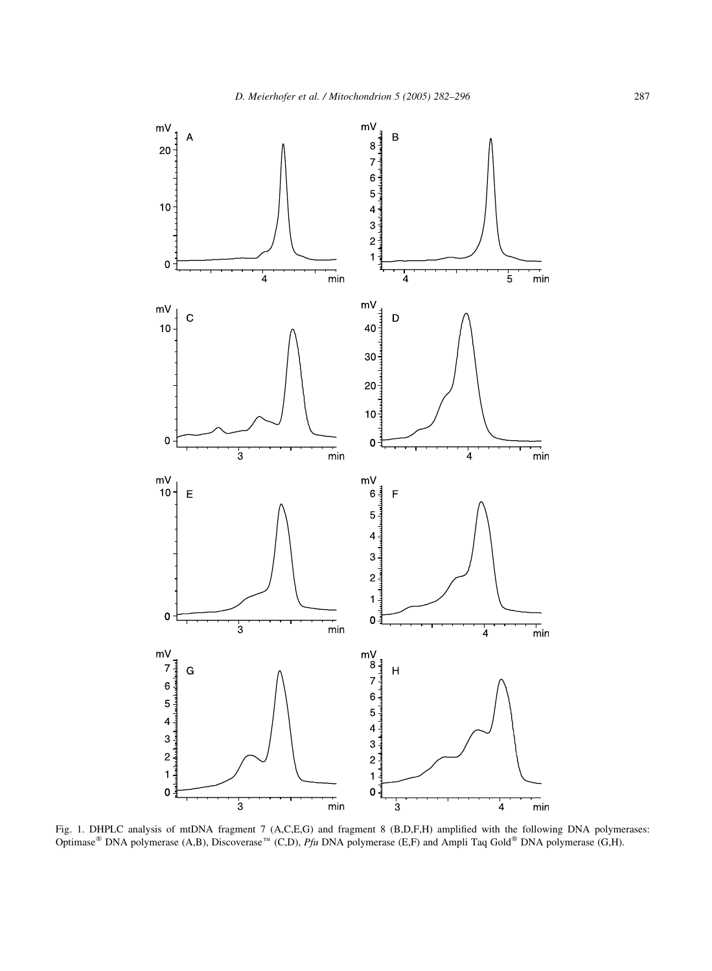<span id="page-5-0"></span>

Fig. 1. DHPLC analysis of mtDNA fragment 7 (A,C,E,G) and fragment 8 (B,D,F,H) amplified with the following DNA polymerases: Optimase<sup>®</sup> DNA polymerase (A,B), Discoverase<sup>™</sup> (C,D), Pfu DNA polymerase (E,F) and Ampli Taq Gold® DNA polymerase (G,H).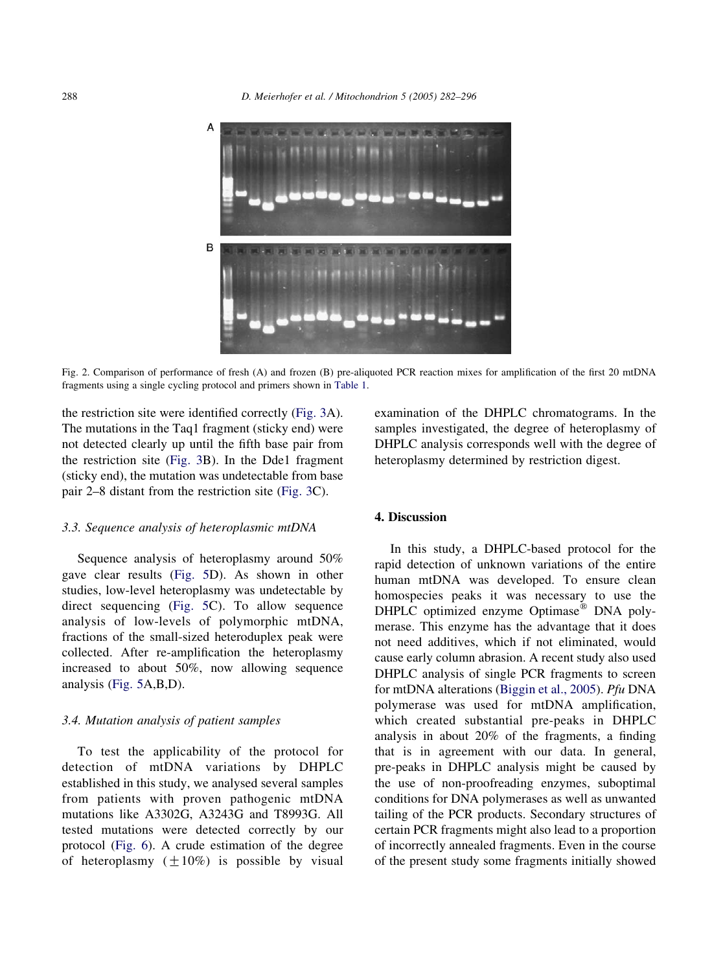<span id="page-6-0"></span>

Fig. 2. Comparison of performance of fresh (A) and frozen (B) pre-aliquoted PCR reaction mixes for amplification of the first 20 mtDNA fragments using a single cycling protocol and primers shown in [Table 1](#page-2-0).

the restriction site were identified correctly (Fig. 3A). The mutations in the Taq1 fragment (sticky end) were not detected clearly up until the fifth base pair from the restriction site (Fig. 3B). In the Dde1 fragment (sticky end), the mutation was undetectable from base pair 2–8 distant from the restriction site (Fig. 3C).

### 3.3. Sequence analysis of heteroplasmic mtDNA

Sequence analysis of heteroplasmy around 50% gave clear results [\(Fig. 5](#page-10-0)D). As shown in other studies, low-level heteroplasmy was undetectable by direct sequencing [\(Fig. 5C](#page-10-0)). To allow sequence analysis of low-levels of polymorphic mtDNA, fractions of the small-sized heteroduplex peak were collected. After re-amplification the heteroplasmy increased to about 50%, now allowing sequence analysis ([Fig. 5A](#page-10-0),B,D).

#### 3.4. Mutation analysis of patient samples

To test the applicability of the protocol for detection of mtDNA variations by DHPLC established in this study, we analysed several samples from patients with proven pathogenic mtDNA mutations like A3302G, A3243G and T8993G. All tested mutations were detected correctly by our protocol (Fig. 6). A crude estimation of the degree of heteroplasmy  $(\pm 10\%)$  is possible by visual examination of the DHPLC chromatograms. In the samples investigated, the degree of heteroplasmy of DHPLC analysis corresponds well with the degree of heteroplasmy determined by restriction digest.

### 4. Discussion

In this study, a DHPLC-based protocol for the rapid detection of unknown variations of the entire human mtDNA was developed. To ensure clean homospecies peaks it was necessary to use the DHPLC optimized enzyme Optimase<sup>®</sup> DNA polymerase. This enzyme has the advantage that it does not need additives, which if not eliminated, would cause early column abrasion. A recent study also used DHPLC analysis of single PCR fragments to screen for mtDNA alterations [\(Biggin et al., 2005\)](#page-13-0). Pfu DNA polymerase was used for mtDNA amplification, which created substantial pre-peaks in DHPLC analysis in about 20% of the fragments, a finding that is in agreement with our data. In general, pre-peaks in DHPLC analysis might be caused by the use of non-proofreading enzymes, suboptimal conditions for DNA polymerases as well as unwanted tailing of the PCR products. Secondary structures of certain PCR fragments might also lead to a proportion of incorrectly annealed fragments. Even in the course of the present study some fragments initially showed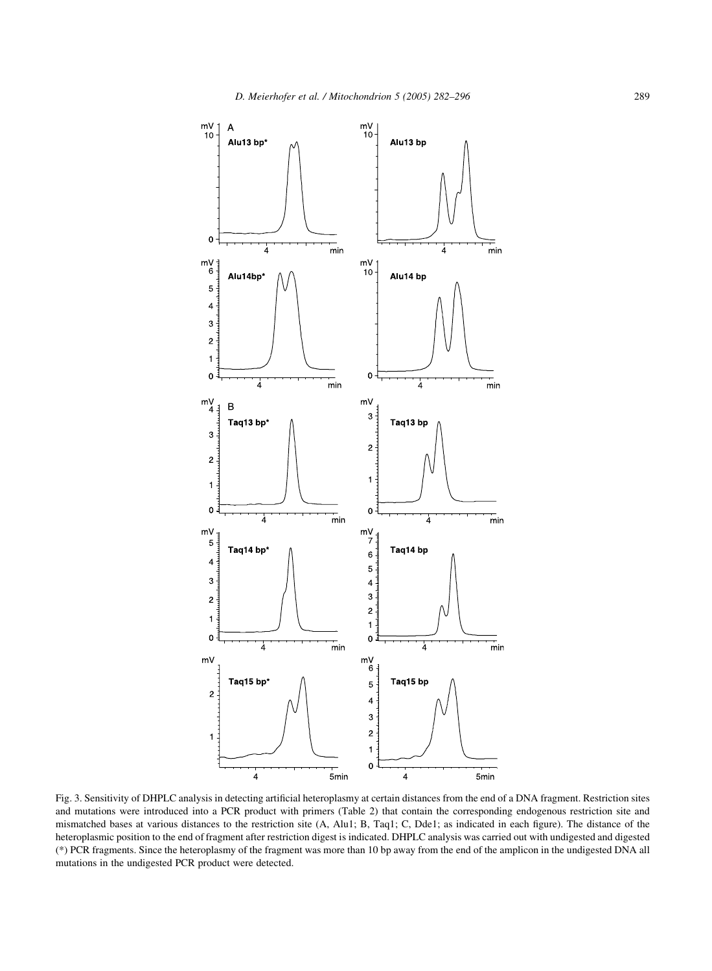

Fig. 3. Sensitivity of DHPLC analysis in detecting artificial heteroplasmy at certain distances from the end of a DNA fragment. Restriction sites and mutations were introduced into a PCR product with primers (Table 2) that contain the corresponding endogenous restriction site and mismatched bases at various distances to the restriction site (A, Alu1; B, Taq1; C, Dde1; as indicated in each figure). The distance of the heteroplasmic position to the end of fragment after restriction digest is indicated. DHPLC analysis was carried out with undigested and digested (\*) PCR fragments. Since the heteroplasmy of the fragment was more than 10 bp away from the end of the amplicon in the undigested DNA all mutations in the undigested PCR product were detected.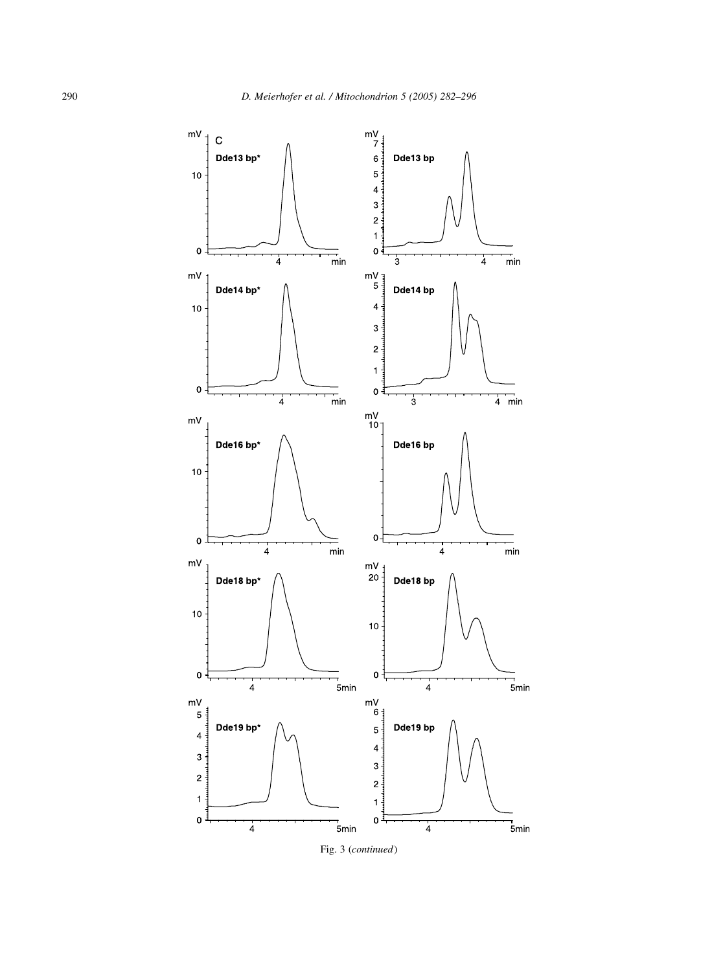

Fig. 3 (continued)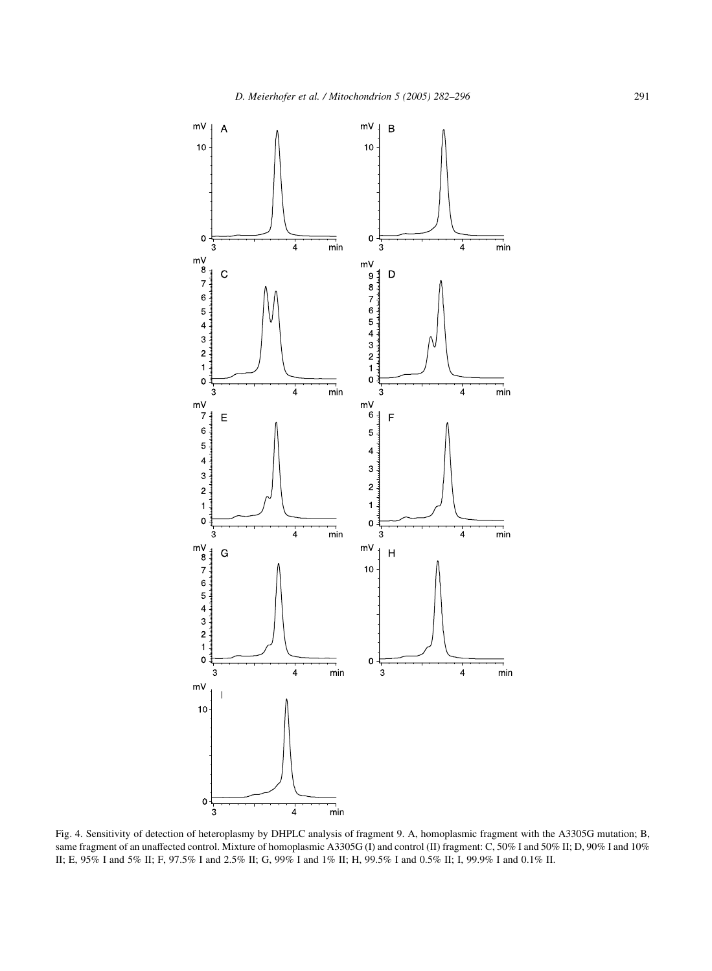<span id="page-9-0"></span>

Fig. 4. Sensitivity of detection of heteroplasmy by DHPLC analysis of fragment 9. A, homoplasmic fragment with the A3305G mutation; B, same fragment of an unaffected control. Mixture of homoplasmic A3305G (I) and control (II) fragment: C, 50% I and 50% II; D, 90% I and 10% II; E, 95% I and 5% II; F, 97.5% I and 2.5% II; G, 99% I and 1% II; H, 99.5% I and 0.5% II; I, 99.9% I and 0.1% II.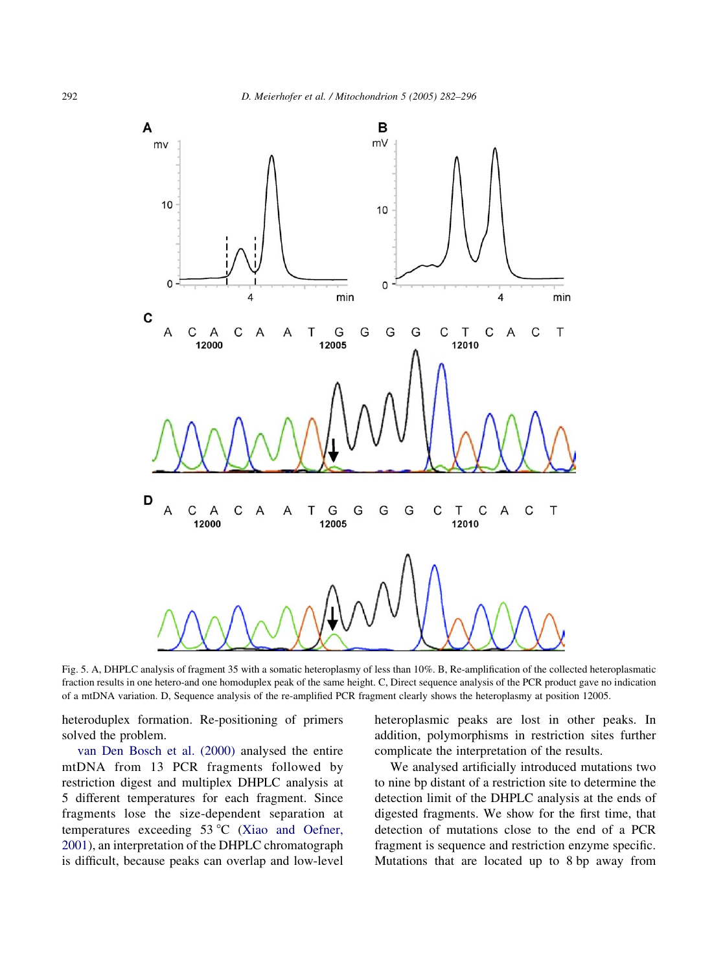<span id="page-10-0"></span>

Fig. 5. A, DHPLC analysis of fragment 35 with a somatic heteroplasmy of less than 10%. B, Re-amplification of the collected heteroplasmatic fraction results in one hetero-and one homoduplex peak of the same height. C, Direct sequence analysis of the PCR product gave no indication of a mtDNA variation. D, Sequence analysis of the re-amplified PCR fragment clearly shows the heteroplasmy at position 12005.

heteroduplex formation. Re-positioning of primers solved the problem.

[van Den Bosch et al. \(2000\)](#page-14-0) analysed the entire mtDNA from 13 PCR fragments followed by restriction digest and multiplex DHPLC analysis at 5 different temperatures for each fragment. Since fragments lose the size-dependent separation at temperatures exceeding  $53^{\circ}$ C [\(Xiao and Oefner,](#page-14-0) [2001](#page-14-0)), an interpretation of the DHPLC chromatograph is difficult, because peaks can overlap and low-level heteroplasmic peaks are lost in other peaks. In addition, polymorphisms in restriction sites further complicate the interpretation of the results.

We analysed artificially introduced mutations two to nine bp distant of a restriction site to determine the detection limit of the DHPLC analysis at the ends of digested fragments. We show for the first time, that detection of mutations close to the end of a PCR fragment is sequence and restriction enzyme specific. Mutations that are located up to 8 bp away from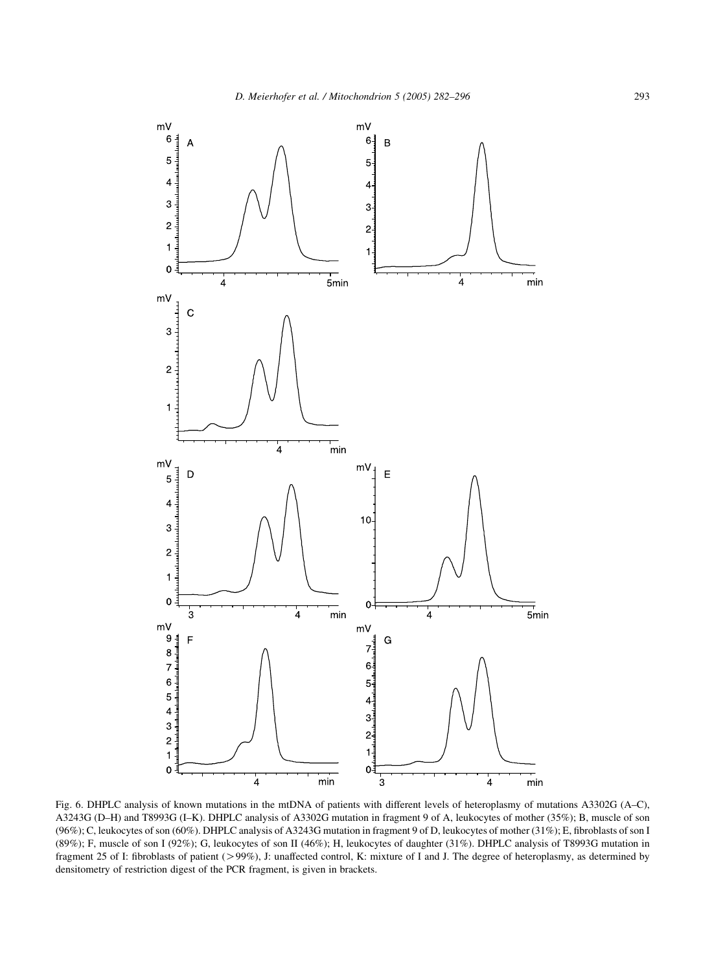

Fig. 6. DHPLC analysis of known mutations in the mtDNA of patients with different levels of heteroplasmy of mutations A3302G (A–C), A3243G (D–H) and T8993G (I–K). DHPLC analysis of A3302G mutation in fragment 9 of A, leukocytes of mother (35%); B, muscle of son (96%); C, leukocytes of son (60%). DHPLC analysis of A3243G mutation in fragment 9 of D, leukocytes of mother (31%); E, fibroblasts of son I (89%); F, muscle of son I (92%); G, leukocytes of son II (46%); H, leukocytes of daughter (31%). DHPLC analysis of T8993G mutation in fragment 25 of I: fibroblasts of patient (>99%), J: unaffected control, K: mixture of I and J. The degree of heteroplasmy, as determined by densitometry of restriction digest of the PCR fragment, is given in brackets.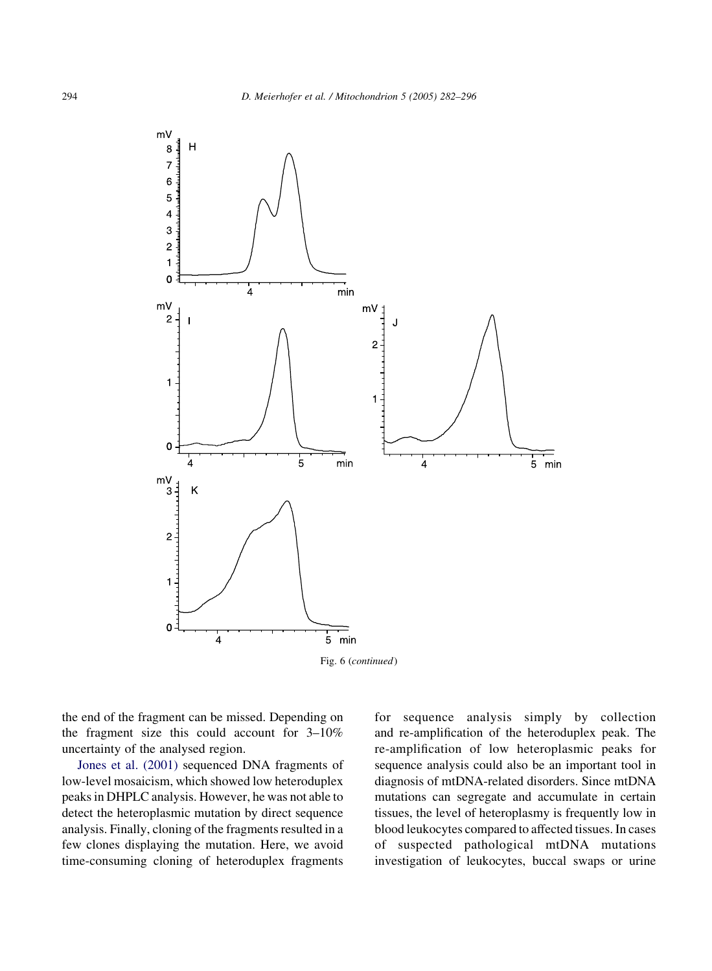

Fig. 6 (continued)

the end of the fragment can be missed. Depending on the fragment size this could account for 3–10% uncertainty of the analysed region.

[Jones et al. \(2001\)](#page-13-0) sequenced DNA fragments of low-level mosaicism, which showed low heteroduplex peaks in DHPLC analysis. However, he was not able to detect the heteroplasmic mutation by direct sequence analysis. Finally, cloning of the fragments resulted in a few clones displaying the mutation. Here, we avoid time-consuming cloning of heteroduplex fragments

for sequence analysis simply by collection and re-amplification of the heteroduplex peak. The re-amplification of low heteroplasmic peaks for sequence analysis could also be an important tool in diagnosis of mtDNA-related disorders. Since mtDNA mutations can segregate and accumulate in certain tissues, the level of heteroplasmy is frequently low in blood leukocytes compared to affected tissues. In cases of suspected pathological mtDNA mutations investigation of leukocytes, buccal swaps or urine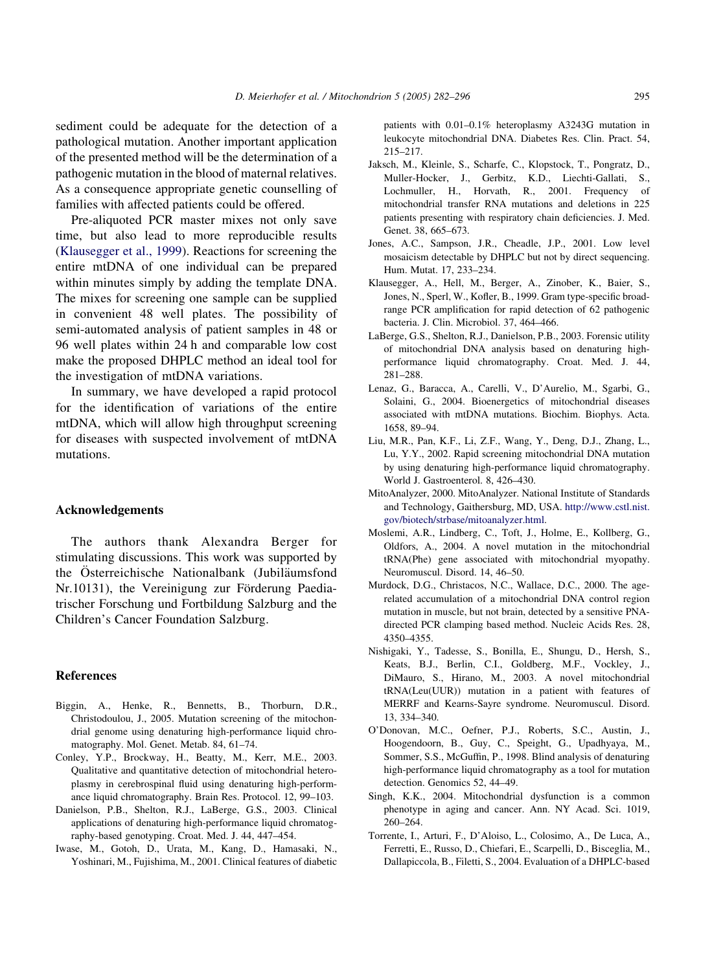<span id="page-13-0"></span>sediment could be adequate for the detection of a pathological mutation. Another important application of the presented method will be the determination of a pathogenic mutation in the blood of maternal relatives. As a consequence appropriate genetic counselling of families with affected patients could be offered.

Pre-aliquoted PCR master mixes not only save time, but also lead to more reproducible results (Klausegger et al., 1999). Reactions for screening the entire mtDNA of one individual can be prepared within minutes simply by adding the template DNA. The mixes for screening one sample can be supplied in convenient 48 well plates. The possibility of semi-automated analysis of patient samples in 48 or 96 well plates within 24 h and comparable low cost make the proposed DHPLC method an ideal tool for the investigation of mtDNA variations.

In summary, we have developed a rapid protocol for the identification of variations of the entire mtDNA, which will allow high throughput screening for diseases with suspected involvement of mtDNA mutations.

#### Acknowledgements

The authors thank Alexandra Berger for stimulating discussions. This work was supported by the Österreichische Nationalbank (Jubiläumsfond Nr.10131), the Vereinigung zur Förderung Paediatrischer Forschung und Fortbildung Salzburg and the Children's Cancer Foundation Salzburg.

#### References

- Biggin, A., Henke, R., Bennetts, B., Thorburn, D.R., Christodoulou, J., 2005. Mutation screening of the mitochondrial genome using denaturing high-performance liquid chromatography. Mol. Genet. Metab. 84, 61–74.
- Conley, Y.P., Brockway, H., Beatty, M., Kerr, M.E., 2003. Qualitative and quantitative detection of mitochondrial heteroplasmy in cerebrospinal fluid using denaturing high-performance liquid chromatography. Brain Res. Protocol. 12, 99–103.
- Danielson, P.B., Shelton, R.J., LaBerge, G.S., 2003. Clinical applications of denaturing high-performance liquid chromatography-based genotyping. Croat. Med. J. 44, 447–454.
- Iwase, M., Gotoh, D., Urata, M., Kang, D., Hamasaki, N., Yoshinari, M., Fujishima, M., 2001. Clinical features of diabetic

patients with 0.01–0.1% heteroplasmy A3243G mutation in leukocyte mitochondrial DNA. Diabetes Res. Clin. Pract. 54, 215–217.

- Jaksch, M., Kleinle, S., Scharfe, C., Klopstock, T., Pongratz, D., Muller-Hocker, J., Gerbitz, K.D., Liechti-Gallati, S., Lochmuller, H., Horvath, R., 2001. Frequency of mitochondrial transfer RNA mutations and deletions in 225 patients presenting with respiratory chain deficiencies. J. Med. Genet. 38, 665–673.
- Jones, A.C., Sampson, J.R., Cheadle, J.P., 2001. Low level mosaicism detectable by DHPLC but not by direct sequencing. Hum. Mutat. 17, 233–234.
- Klausegger, A., Hell, M., Berger, A., Zinober, K., Baier, S., Jones, N., Sperl, W., Kofler, B., 1999. Gram type-specific broadrange PCR amplification for rapid detection of 62 pathogenic bacteria. J. Clin. Microbiol. 37, 464–466.
- LaBerge, G.S., Shelton, R.J., Danielson, P.B., 2003. Forensic utility of mitochondrial DNA analysis based on denaturing highperformance liquid chromatography. Croat. Med. J. 44, 281–288.
- Lenaz, G., Baracca, A., Carelli, V., D'Aurelio, M., Sgarbi, G., Solaini, G., 2004. Bioenergetics of mitochondrial diseases associated with mtDNA mutations. Biochim. Biophys. Acta. 1658, 89–94.
- Liu, M.R., Pan, K.F., Li, Z.F., Wang, Y., Deng, D.J., Zhang, L., Lu, Y.Y., 2002. Rapid screening mitochondrial DNA mutation by using denaturing high-performance liquid chromatography. World J. Gastroenterol. 8, 426–430.
- MitoAnalyzer, 2000. MitoAnalyzer. National Institute of Standards and Technology, Gaithersburg, MD, USA. [http://www.cstl.nist.](http://www.cstl.nist.gov/biotech/strbase/mitoanalyzer.html) [gov/biotech/strbase/mitoanalyzer.html](http://www.cstl.nist.gov/biotech/strbase/mitoanalyzer.html).
- Moslemi, A.R., Lindberg, C., Toft, J., Holme, E., Kollberg, G., Oldfors, A., 2004. A novel mutation in the mitochondrial tRNA(Phe) gene associated with mitochondrial myopathy. Neuromuscul. Disord. 14, 46–50.
- Murdock, D.G., Christacos, N.C., Wallace, D.C., 2000. The agerelated accumulation of a mitochondrial DNA control region mutation in muscle, but not brain, detected by a sensitive PNAdirected PCR clamping based method. Nucleic Acids Res. 28, 4350–4355.
- Nishigaki, Y., Tadesse, S., Bonilla, E., Shungu, D., Hersh, S., Keats, B.J., Berlin, C.I., Goldberg, M.F., Vockley, J., DiMauro, S., Hirano, M., 2003. A novel mitochondrial tRNA(Leu(UUR)) mutation in a patient with features of MERRF and Kearns-Sayre syndrome. Neuromuscul. Disord. 13, 334–340.
- O'Donovan, M.C., Oefner, P.J., Roberts, S.C., Austin, J., Hoogendoorn, B., Guy, C., Speight, G., Upadhyaya, M., Sommer, S.S., McGuffin, P., 1998. Blind analysis of denaturing high-performance liquid chromatography as a tool for mutation detection. Genomics 52, 44–49.
- Singh, K.K., 2004. Mitochondrial dysfunction is a common phenotype in aging and cancer. Ann. NY Acad. Sci. 1019, 260–264.
- Torrente, I., Arturi, F., D'Aloiso, L., Colosimo, A., De Luca, A., Ferretti, E., Russo, D., Chiefari, E., Scarpelli, D., Bisceglia, M., Dallapiccola, B., Filetti, S., 2004. Evaluation of a DHPLC-based